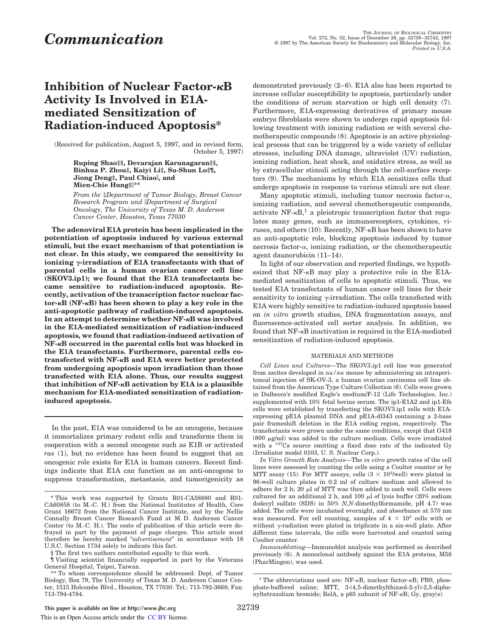## **Inhibition of Nuclear Factor-**k**B Activity Is Involved in E1Amediated Sensitization of Radiation-induced Apoptosis\***

(Received for publication, August 5, 1997, and in revised form, October 5, 1997)

> **Ruping Shao‡§, Devarajan Karunagaran‡§, Binhua P. Zhou‡, Kaiyi Li‡, Su-Shun Lo‡¶, Jiong Deng‡, Paul Chiao**i**, and Mien-Chie Hung‡**i**\*\***

*From the* ‡*Department of Tumor Biology, Breast Cancer Research Program and* i*Department of Surgical Oncology, The University of Texas M. D. Anderson Cancer Center, Houston, Texas 77030*

**The adenoviral E1A protein has been implicated in the potentiation of apoptosis induced by various external stimuli, but the exact mechanism of that potentiation is not clear. In this study, we compared the sensitivity to ionizing**  $\gamma$ -irradiation of E1A transfectants with that of **parental cells in a human ovarian cancer cell line (SKOV3.ip1); we found that the E1A transfectants became sensitive to radiation-induced apoptosis. Recently, activation of the transcription factor nuclear factor-**k**B (NF-**k**B) has been shown to play a key role in the anti-apoptotic pathway of radiation-induced apoptosis. In an attempt to determine whether NF-**k**B was involved in the E1A-mediated sensitization of radiation-induced apoptosis, we found that radiation-induced activation of NF-**k**B occurred in the parental cells but was blocked in the E1A transfectants. Furthermore, parental cells cotransfected with NF-**k**B and E1A were better protected from undergoing apoptosis upon irradiation than those transfected with E1A alone. Thus, our results suggest that inhibition of NF-**k**B activation by E1A is a plausible mechanism for E1A-mediated sensitization of radiationinduced apoptosis.**

In the past, E1A was considered to be an oncogene, because it immortalizes primary rodent cells and transforms them in cooperation with a second oncogene such as E1B or activated *ras* (1), but no evidence has been found to suggest that an oncogenic role exists for E1A in human cancers. Recent findings indicate that E1A can function as an anti-oncogene to suppress transformation, metastasis, and tumorigenicity as

demonstrated previously (2–6). E1A also has been reported to increase cellular susceptibility to apoptosis, particularly under the conditions of serum starvation or high cell density (7). Furthermore, E1A-expressing derivatives of primary mouse embryo fibroblasts were shown to undergo rapid apoptosis following treatment with ionizing radiation or with several chemotherapeutic compounds (8). Apoptosis is an active physiological process that can be triggered by a wide variety of cellular stresses, including DNA damage, ultraviolet (UV) radiation, ionizing radiation, heat shock, and oxidative stress, as well as by extracellular stimuli acting through the cell-surface receptors (9). The mechanisms by which E1A sensitizes cells that undergo apoptosis in response to various stimuli are not clear.

Many apoptotic stimuli, including tumor necrosis factor- $\alpha$ , ionizing radiation, and several chemotherapeutic compounds, activate NF- $\kappa B$ ,<sup>1</sup> a pleiotropic transcription factor that regulates many genes, such as immunoreceptors, cytokines, viruses, and others  $(10)$ . Recently, NF- $\kappa$ B has been shown to have an anti-apoptotic role, blocking apoptosis induced by tumor necrosis factor- $\alpha$ , ionizing radiation, or the chemotherapeutic agent daunorubicin (11–14).

In light of our observation and reported findings, we hypothesized that  $NF-\kappa B$  may play a protective role in the E1Amediated sensitization of cells to apoptotic stimuli. Thus, we tested E1A transfectants of human cancer cell lines for their sensitivity to ionizing  $\gamma$ -irradiation. The cells transfected with E1A were highly sensitive to radiation-induced apoptosis based on *in vitro* growth studies, DNA fragmentation assays, and fluorescence-activated cell sorter analysis. In addition, we found that NF-kB inactivation is required in the E1A-mediated sensitization of radiation-induced apoptosis.

## MATERIALS AND METHODS

*Cell Lines and Cultures—*The SKOV3.ip1 cell line was generated from ascites developed in *nu/nu* mouse by administering an intraperitoneal injection of SK-OV-3, a human ovarian carcinoma cell line obtained from the American Type Culture Collection (6). Cells were grown in Dulbecco's modified Eagle's medium/F-12 (Life Technologies, Inc.) supplemented with 10% fetal bovine serum. The ip1-E1A2 and ip1-Efs cells were established by transfecting the SKOV3.ip1 cells with E1Aexpressing pE1A plasmid DNA and pE1A-dl343 containing a 2-base pair frameshift deletion in the E1A coding region, respectively. The transfectants were grown under the same conditions, except that G418 (800  $\mu$ g/ml) was added to the culture medium. Cells were irradiated with a <sup>137</sup>Cs source emitting a fixed dose rate of the indicated Gy (Irradiator model 0103, U. S. Nuclear Corp.).

*In Vitro Growth Rate Analysis—*The *in vitro* growth rates of the cell lines were assessed by counting the cells using a Coulter counter or by MTT assay (15). For MTT assays, cells  $(3 \times 10^3/\text{well})$  were plated in 96-well culture plates in 0.2 ml of culture medium and allowed to adhere for 2 h; 20  $\mu$ l of MTT was then added to each well. Cells were cultured for an additional 2 h, and 100  $\mu$ l of lysis buffer (20% sodium dodecyl sulfate (SDS) in 50% *N,N*-dimethylformamide, pH 4.7) was added. The cells were incubated overnight, and absorbance at 570 nm was measured. For cell counting, samples of  $4 \times 10^4$  cells with or without  $\gamma$ -radiation were plated in triplicate in a six-well plate. After different time intervals, the cells were harvested and counted using Coulter counter.

*Immunoblotting—*Immunoblot analysis was performed as described previously (6). A monoclonal antibody against the E1A proteins, M58 (PharMingen), was used.

<sup>\*</sup> This work was supported by Grants R01-CA58880 and R01- CA60858 (to M.-C. H.) from the National Institutes of Health, Core Grant 16672 from the National Cancer Institute, and by the Nellie Connally Breast Cancer Research Fund at M. D. Anderson Cancer Center (to M.-C. H.). The costs of publication of this article were defrayed in part by the payment of page charges. This article must therefore be hereby marked "*advertisement*" in accordance with 18 U.S.C. Section 1734 solely to indicate this fact.

<sup>§</sup> The first two authors contributed equally to this work.

<sup>¶</sup> Visiting scientist financially supported in part by the Veterans General Hospital, Taipei, Taiwan.

<sup>\*\*</sup> To whom correspondence should be addressed: Dept. of Tumor Biology, Box 79, The University of Texas M. D. Anderson Cancer Center, 1515 Holcombe Blvd., Houston, TX 77030. Tel.: 713-792-3668; Fax: 713-794-4784.

<sup>&</sup>lt;sup>1</sup> The abbreviations used are:  $NF - \kappa B$ , nuclear factor- $\kappa B$ ; PBS, phosphate-buffered saline; MTT, 3-(4,5-dimethylthiazol-2-yl)-2,5-diphenyltetrazolium bromide; RelA, a p65 subunit of NF-kB; Gy, gray(s).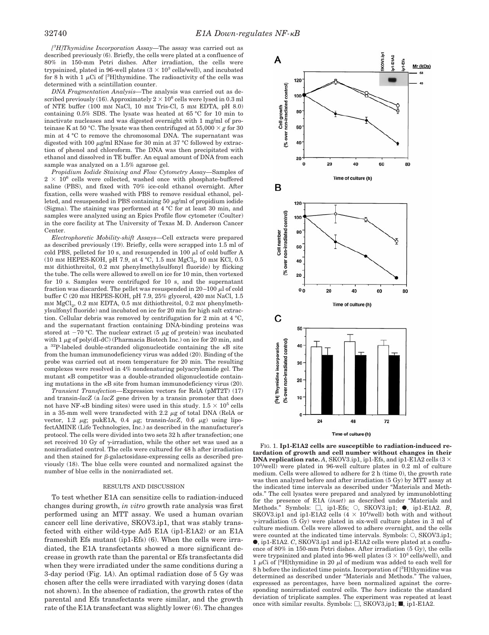*[ <sup>3</sup>H]Thymidine Incorporation Assay—*The assay was carried out as described previously (6). Briefly, the cells were plated at a confluence of 80% in 150-mm Petri dishes. After irradiation, the cells were trypsinized, plated in 96-well plates  $(3 \times 10^3 \text{ cells/well})$ , and incubated for 8 h with 1  $\mu$ Ci of [<sup>3</sup>H]thymidine. The radioactivity of the cells was determined with a scintillation counter.

*DNA Fragmentation Analysis—*The analysis was carried out as described previously (16). Approximately  $2 \times 10^6$  cells were lysed in 0.3 ml of NTE buffer (100 mM NaCl, 10 mM Tris-Cl, 5 mM EDTA, pH 8.0) containing 0.5% SDS. The lysate was heated at 65 °C for 10 min to inactivate nucleases and was digested overnight with 1 mg/ml of proteinase K at 50 °C. The lysate was then centrifuged at 55,000  $\times$   $g$  for 30 min at 4 °C to remove the chromosomal DNA. The supernatant was digested with 100  $\mu$ g/ml RNase for 30 min at 37 °C followed by extraction of phenol and chloroform. The DNA was then precipitated with ethanol and dissolved in TE buffer. An equal amount of DNA from each sample was analyzed on a 1.5% agarose gel.

*Propidium Iodide Staining and Flow Cytometry Assay—*Samples of  $2 \times 10^6$  cells were collected, washed once with phosphate-buffered saline (PBS), and fixed with 70% ice-cold ethanol overnight. After fixation, cells were washed with PBS to remove residual ethanol, pelleted, and resuspended in PBS containing 50  $\mu$ g/ml of propidium iodide (Sigma). The staining was performed at 4 °C for at least 30 min, and samples were analyzed using an Epics Profile flow cytometer (Coulter) in the core facility at The University of Texas M. D. Anderson Cancer Center.

*Electrophoretic Mobility-shift Assays—*Cell extracts were prepared as described previously (19). Briefly, cells were scrapped into 1.5 ml of cold PBS, pelleted for 10 s, and resuspended in 100  $\mu$ l of cold buffer A (10 mm HEPES-KOH, pH 7.9, at 4 °C, 1.5 mm  ${ {\rm MgCl}_{2},}$  10 mm KCl, 0.5 mM dithiothreitol, 0.2 mM phenylmethylsulfonyl fluoride) by flicking the tube. The cells were allowed to swell on ice for 10 min, then vortexed for 10 s. Samples were centrifuged for 10 s, and the supernatant fraction was discarded. The pellet was resuspended in  $20-100 \mu$ l of cold buffer C (20 mM HEPES-KOH, pH 7.9, 25% glycerol, 420 mM NaCl, 1.5 mM  $MgCl<sub>2</sub>$ , 0.2 mM EDTA, 0.5 mM dithiothreitol, 0.2 mM phenylmethylsulfonyl fluoride) and incubated on ice for 20 min for high salt extraction. Cellular debris was removed by centrifugation for 2 min at 4 °C, and the supernatant fraction containing DNA-binding proteins was stored at  $-70$  °C. The nuclear extract (5  $\mu$ g of protein) was incubated with  $1 \mu$ g of poly(dI-dC) (Pharmacia Biotech Inc.) on ice for 20 min, and a  $^{32}P$ -labeled double-stranded oligonucleotide containing the  $\kappa B$  site from the human immunodeficiency virus was added (20). Binding of the probe was carried out at room temperature for 20 min. The resulting complexes were resolved in 4% nondenaturing polyacrylamide gel. The mutant <sup>k</sup>B competitor was a double-stranded oligonucleotide containing mutations in the  $\kappa$ B site from human immunodeficiency virus (20).

*Transient Transfection—*Expression vectors for RelA (pMT2T) (17) and transin-*lacZ* (a *lacZ* gene driven by a transin promoter that does not have NF- $\kappa$ B binding sites) were used in this study.  $1.5 \times 10^5$  cells in a 35-mm well were transfected with 2.2  $\mu$ g of total DNA (RelA or vector, 1.2  $\mu$ g; pukE1A, 0.4  $\mu$ g; transin-*lacZ*, 0.6  $\mu$ g) using lipofectAMINE (Life Technologies, Inc.) as described in the manufacturer's protocol. The cells were divided into two sets 32 h after transfection; one set received 10 Gy of  $\gamma$ -irradiation, while the other set was used as a nonirradiated control. The cells were cultured for 48 h after irradiation and then stained for  $\beta$ -galactosidase-expressing cells as described previously (18). The blue cells were counted and normalized against the number of blue cells in the nonirradiated set.

## RESULTS AND DISCUSSION

To test whether E1A can sensitize cells to radiation-induced changes during growth, *in vitro* growth rate analysis was first performed using an MTT assay. We used a human ovarian cancer cell line derivative, SKOV3.ip1, that was stably transfected with either wild-type Ad5 E1A (ip1-E1A2) or an E1A frameshift Efs mutant (ip1-Efs) (6). When the cells were irradiated, the E1A transfectants showed a more significant decrease in growth rate than the parental or Efs transfectants did when they were irradiated under the same conditions during a 3-day period (Fig. 1*A*). An optimal radiation dose of 5 Gy was chosen after the cells were irradiated with varying doses (data not shown). In the absence of radiation, the growth rates of the parental and Efs transfectants were similar, and the growth rate of the E1A transfectant was slightly lower (6). The changes



**tardation of growth and cell number without changes in their DNA replication rate.** A, SKOV3.ip1, ip1-Efs, and ip1-E1A2 cells  $(3 \times$ 10<sup>3</sup> /well) were plated in 96-well culture plates in 0.2 ml of culture medium. Cells were allowed to adhere for 2 h (time 0), the growth rate was then analyzed before and after irradiation (5 Gy) by MTT assay at the indicated time intervals as described under "Materials and Methods." The cell lysates were prepared and analyzed by immunoblotting for the presence of E1A (*inset*) as described under "Materials and Methods." Symbols: □, ip1-Efs; ○, SKOV3.ip1; ●, ip1-E1A2. *B*, SKOV3.ip1 and ip1-E1A2 cells  $(4 \times 10^4/\text{well})$  both with and without  $\gamma$ -irradiation (5 Gy) were plated in six-well culture plates in 3 ml of culture medium. Cells were allowed to adhere overnight, and the cells were counted at the indicated time intervals. Symbols:  $\bigcirc$ , SKOV3.ip1; ●, ip1-E1A2. *C*, SKOV3.ip1 and ip1-E1A2 cells were plated at a confluence of  $80\%$  in 150-mm Petri dishes. After irradiation (5 Gy), the cells were trypsinized and plated into 96-well plates  $(3 \times 10^3 \text{ cells/well})$ , and 1  $\mu$ Ci of [<sup>3</sup>H]thymidine in 20  $\mu$ l of medium was added to each well for 8 h before the indicated time points. Incorporation of [3H]thymidine was determined as described under "Materials and Methods." The values, expressed as percentages, have been normalized against the corresponding nonirradiated control cells. The *bars* indicate the standard deviation of triplicate samples. The experiment was repeated at least once with similar results. Symbols:  $\Box$ , SKOV3,ip1;  $\blacksquare$ , ip1-E1A2.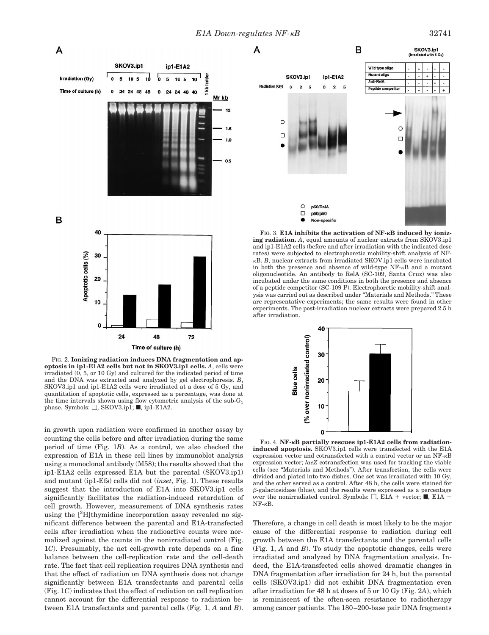

FIG. 2. **Ionizing radiation induces DNA fragmentation and apoptosis in ip1-E1A2 cells but not in SKOV3.ip1 cells.** *A*, cells were irradiated (0, 5, or 10 Gy) and cultured for the indicated period of time and the DNA was extracted and analyzed by gel electrophoresis. *B*, SKOV3.ip1 and ip1-E1A2 cells were irradiated at a dose of 5 Gy, and quantitation of apoptotic cells, expressed as a percentage, was done at the time intervals shown using flow cytometric analysis of the  $sub-G<sub>1</sub>$ phase. Symbols:  $\Box$ , SKOV3.ip1;  $\blacksquare$ , ip1-E1A2.

in growth upon radiation were confirmed in another assay by counting the cells before and after irradiation during the same period of time (Fig. 1*B*). As a control, we also checked the expression of E1A in these cell lines by immunoblot analysis using a monoclonal antibody (M58); the results showed that the ip1-E1A2 cells expressed E1A but the parental (SKOV3.ip1) and mutant (ip1-Efs) cells did not (*inset*, Fig. 1). These results suggest that the introduction of E1A into SKOV3.ip1 cells significantly facilitates the radiation-induced retardation of cell growth. However, measurement of DNA synthesis rates using the  $[3H]$ thymidine incorporation assay revealed no significant difference between the parental and E1A-transfected cells after irradiation when the radioactive counts were normalized against the counts in the nonirradiated control (Fig. 1*C*). Presumably, the net cell-growth rate depends on a fine balance between the cell-replication rate and the cell-death rate. The fact that cell replication requires DNA synthesis and that the effect of radiation on DNA synthesis does not change significantly between E1A transfectants and parental cells (Fig. 1*C*) indicates that the effect of radiation on cell replication cannot account for the differential response to radiation between E1A transfectants and parental cells (Fig. 1, *A* and *B*).





FIG. 3. **E1A inhibits the activation of NF-**k**B induced by ionizing radiation.** A, equal amounts of nuclear extracts from SKOV3.ip1 and ip1-E1A2 cells (before and after irradiation with the indicated dose rates) were subjected to electrophoretic mobility-shift analysis of NF<sup>k</sup>B. *B*, nuclear extracts from irradiated SKOV.ip1 cells were incubated in both the presence and absence of wild-type NF-kB and a mutant oligonucleotide. An antibody to RelA (SC-109, Santa Cruz) was also incubated under the same conditions in both the presence and absence of a peptide competitor (SC-109 P). Electrophoretic mobility-shift analysis was carried out as described under "Materials and Methods." These are representative experiments; the same results were found in other experiments. The post-irradiation nuclear extracts were prepared 2.5 h after irradiation.



FIG. 4. **NF-**k**B partially rescues ip1-E1A2 cells from radiationinduced apoptosis.** SKOV3.ip1 cells were transfected with the E1A expression vector and cotransfected with a control vector or an NF-kB expression vector; *lacZ* cotransfection was used for tracking the viable cells (see "Materials and Methods"). After transfection, the cells were divided and plated into two dishes. One set was irradiated with 10 Gy, and the other served as a control. After 48 h, the cells were stained for  $\beta$ -galactosidase (blue), and the results were expressed as a percentage over the nonirradiated control. Symbols:  $\Box$ , E1A + vector;  $\blacksquare$ , E1A +  $NF-\kappa B$ .

Therefore, a change in cell death is most likely to be the major cause of the differential response to radiation during cell growth between the E1A transfectants and the parental cells (Fig. 1, *A* and *B*). To study the apoptotic changes, cells were irradiated and analyzed by DNA fragmentation analysis. Indeed, the E1A-transfected cells showed dramatic changes in DNA fragmentation after irradiation for 24 h, but the parental cells (SKOV3.ip1) did not exhibit DNA fragmentation even after irradiation for 48 h at doses of 5 or 10 Gy (Fig. 2*A*), which is reminiscent of the often-seen resistance to radiotherapy among cancer patients. The 180–200-base pair DNA fragments